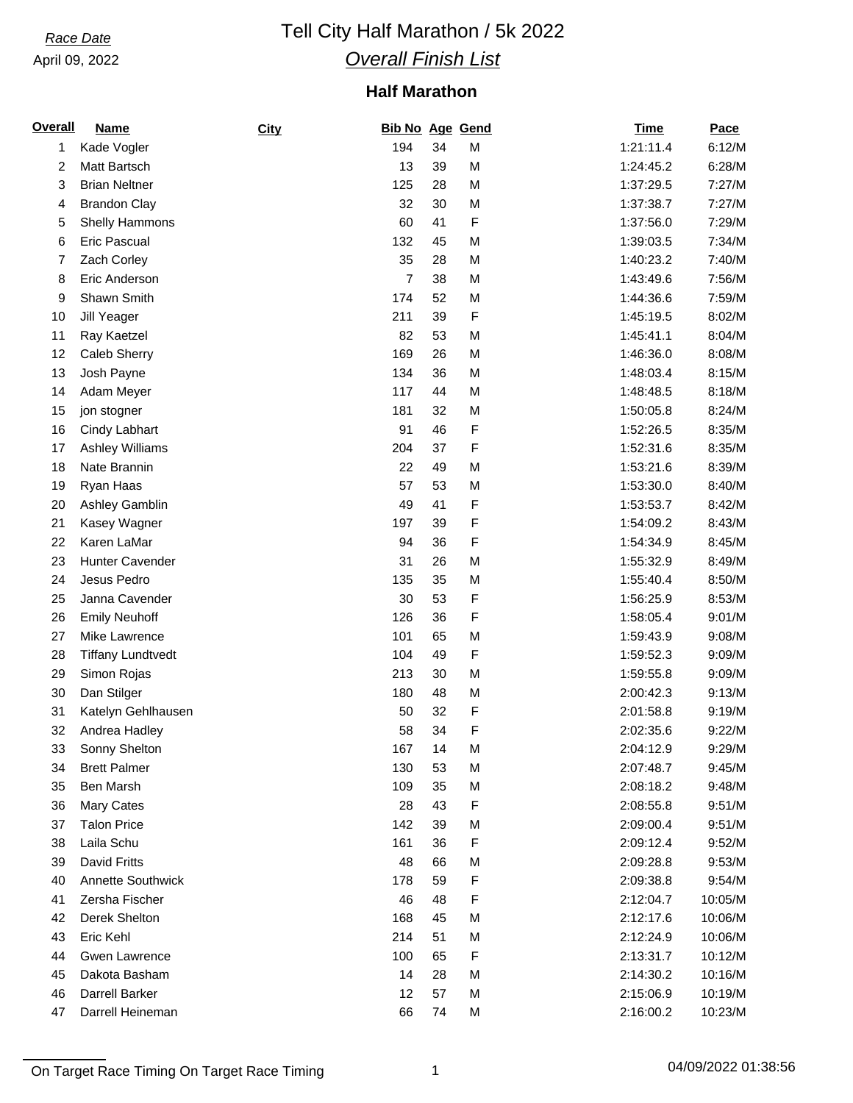April 09, 2022

# *Race Date* Tell City Half Marathon / 5k 2022 *Overall Finish List*

### **Half Marathon**

| <b>Overall</b> | <b>Name</b>              | <b>City</b> | <b>Bib No Age Gend</b> |    |   | <b>Time</b> | Pace    |
|----------------|--------------------------|-------------|------------------------|----|---|-------------|---------|
| 1              | Kade Vogler              |             | 194                    | 34 | M | 1:21:11.4   | 6:12/M  |
| 2              | Matt Bartsch             |             | 13                     | 39 | M | 1:24:45.2   | 6:28/M  |
| 3              | <b>Brian Neltner</b>     |             | 125                    | 28 | M | 1:37:29.5   | 7:27/M  |
| 4              | <b>Brandon Clay</b>      |             | 32                     | 30 | M | 1:37:38.7   | 7:27/M  |
| 5              | <b>Shelly Hammons</b>    |             | 60                     | 41 | F | 1:37:56.0   | 7:29/M  |
| 6              | <b>Eric Pascual</b>      |             | 132                    | 45 | M | 1:39:03.5   | 7:34/M  |
| 7              | Zach Corley              |             | 35                     | 28 | M | 1:40:23.2   | 7:40/M  |
| 8              | Eric Anderson            |             | $\overline{7}$         | 38 | M | 1:43:49.6   | 7:56/M  |
| 9              | Shawn Smith              |             | 174                    | 52 | M | 1:44:36.6   | 7:59/M  |
| 10             | Jill Yeager              |             | 211                    | 39 | F | 1:45:19.5   | 8:02/M  |
| 11             | Ray Kaetzel              |             | 82                     | 53 | M | 1:45:41.1   | 8:04/M  |
| 12             | <b>Caleb Sherry</b>      |             | 169                    | 26 | M | 1:46:36.0   | 8:08/M  |
| 13             | Josh Payne               |             | 134                    | 36 | M | 1:48:03.4   | 8:15/M  |
| 14             | Adam Meyer               |             | 117                    | 44 | M | 1:48:48.5   | 8:18/M  |
| 15             | jon stogner              |             | 181                    | 32 | M | 1:50:05.8   | 8:24/M  |
| 16             | Cindy Labhart            |             | 91                     | 46 | F | 1:52:26.5   | 8:35/M  |
| 17             | <b>Ashley Williams</b>   |             | 204                    | 37 | F | 1:52:31.6   | 8:35/M  |
| 18             | Nate Brannin             |             | 22                     | 49 | M | 1:53:21.6   | 8:39/M  |
| 19             | Ryan Haas                |             | 57                     | 53 | M | 1:53:30.0   | 8:40/M  |
| 20             | Ashley Gamblin           |             | 49                     | 41 | F | 1:53:53.7   | 8:42/M  |
| 21             | Kasey Wagner             |             | 197                    | 39 | F | 1:54:09.2   | 8:43/M  |
| 22             | Karen LaMar              |             | 94                     | 36 | F | 1:54:34.9   | 8:45/M  |
| 23             | <b>Hunter Cavender</b>   |             | 31                     | 26 | M | 1:55:32.9   | 8:49/M  |
| 24             | Jesus Pedro              |             | 135                    | 35 | M | 1:55:40.4   | 8:50/M  |
| 25             | Janna Cavender           |             | 30                     | 53 | F | 1:56:25.9   | 8:53/M  |
| 26             | <b>Emily Neuhoff</b>     |             | 126                    | 36 | F | 1:58:05.4   | 9:01/M  |
| 27             | Mike Lawrence            |             | 101                    | 65 | M | 1:59:43.9   | 9:08/M  |
| 28             | <b>Tiffany Lundtvedt</b> |             | 104                    | 49 | F | 1:59:52.3   | 9:09/M  |
| 29             | Simon Rojas              |             | 213                    | 30 | M | 1:59:55.8   | 9:09/M  |
| 30             | Dan Stilger              |             | 180                    | 48 | M | 2:00:42.3   | 9:13/M  |
| 31             | Katelyn Gehlhausen       |             | 50                     | 32 | F | 2:01:58.8   | 9:19/M  |
| 32             | Andrea Hadley            |             | 58                     | 34 | F | 2:02:35.6   | 9:22/M  |
| 33             | Sonny Shelton            |             | 167                    | 14 | M | 2:04:12.9   | 9:29/M  |
| 34             | <b>Brett Palmer</b>      |             | 130                    | 53 | M | 2:07:48.7   | 9:45/M  |
| 35             | Ben Marsh                |             | 109                    | 35 | M | 2:08:18.2   | 9:48/M  |
| 36             | <b>Mary Cates</b>        |             | 28                     | 43 | F | 2:08:55.8   | 9:51/M  |
| 37             | <b>Talon Price</b>       |             | 142                    | 39 | M | 2:09:00.4   | 9:51/M  |
| 38             | Laila Schu               |             | 161                    | 36 | F | 2:09:12.4   | 9:52/M  |
| 39             | <b>David Fritts</b>      |             | 48                     | 66 | M | 2:09:28.8   | 9:53/M  |
| 40             | <b>Annette Southwick</b> |             | 178                    | 59 | F | 2:09:38.8   | 9:54/M  |
| 41             | Zersha Fischer           |             | 46                     | 48 | F | 2:12:04.7   | 10:05/M |
| 42             | Derek Shelton            |             | 168                    | 45 | M | 2:12:17.6   | 10:06/M |
| 43             | Eric Kehl                |             | 214                    | 51 | M | 2:12:24.9   | 10:06/M |
| 44             | <b>Gwen Lawrence</b>     |             | 100                    | 65 | F | 2:13:31.7   | 10:12/M |
| 45             | Dakota Basham            |             | 14                     | 28 | M | 2:14:30.2   | 10:16/M |
| 46             | Darrell Barker           |             | 12                     | 57 | M | 2:15:06.9   | 10:19/M |
| 47             | Darrell Heineman         |             | 66                     | 74 | М | 2:16:00.2   | 10:23/M |
|                |                          |             |                        |    |   |             |         |

On Target Race Timing On Target Race Timing 1 1 04/09/2022 01:38:56